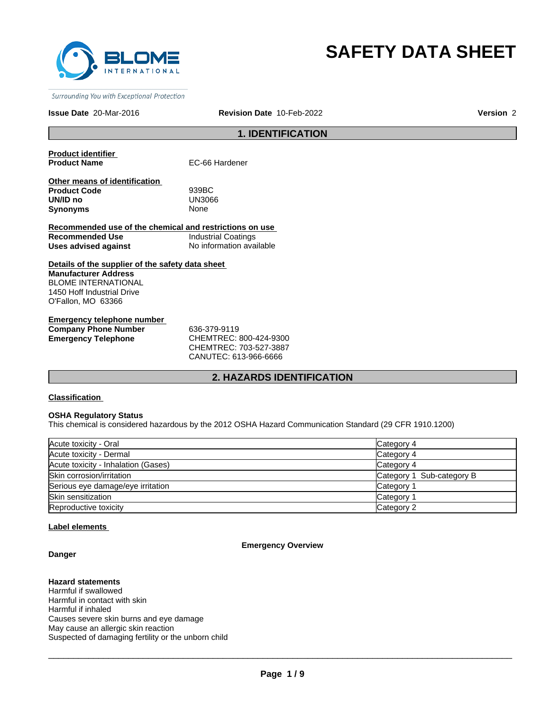

# **SAFETY DATA SHEET**

Surrounding You with Exceptional Protection

#### **Issue Date** 20-Mar-2016 **Revision Date** 10-Feb-2022 **Version** 2

# **1. IDENTIFICATION**

**Product identifier** 

**EC-66 Hardener** 

| Other means of identification |             |
|-------------------------------|-------------|
| <b>Product Code</b>           | 939BC       |
| UN/ID no                      | UN3066      |
| Synonyms                      | <b>None</b> |

**Recommended use of the chemical and restrictions on use Recommended Use Industrial Coatings**<br> **Uses advised against Internation** No information available **Uses advised against** 

**Details of the supplier of the safety data sheet Manufacturer Address** BLOME INTERNATIONAL 1450 Hoff Industrial Drive O'Fallon, MO 63366

**Emergency telephone number Company Phone Number** 636-379-9119 **Emergency Telephone** CHEMTREC: 800-424-9300

CHEMTREC: 703-527-3887 CANUTEC: 613-966-6666

## **2. HAZARDS IDENTIFICATION**

#### **Classification**

## **OSHA Regulatory Status**

This chemical is considered hazardous by the 2012 OSHA Hazard Communication Standard (29 CFR 1910.1200)

| Acute toxicity - Oral               | Category 4                |
|-------------------------------------|---------------------------|
| Acute toxicity - Dermal             | Category 4                |
| Acute toxicity - Inhalation (Gases) | Category 4                |
| Skin corrosion/irritation           | Category 1 Sub-category B |
| Serious eye damage/eye irritation   | Category 1                |
| Skin sensitization                  | Category 1                |
| Reproductive toxicity               | Category 2                |

#### **Label elements**

#### **Danger**

# **Emergency Overview**

# **Hazard statements**

Harmful if swallowed Harmful in contact with skin Harmful if inhaled Causes severe skin burns and eye damage May cause an allergic skin reaction Suspected of damaging fertility or the unborn child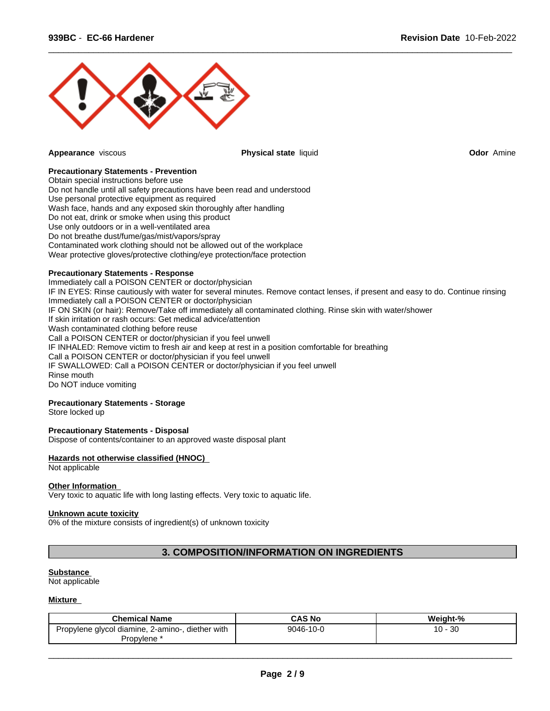

**Appearance** viscous **Physical state** liquid **Odor** Amine

 $\overline{\phantom{a}}$  ,  $\overline{\phantom{a}}$  ,  $\overline{\phantom{a}}$  ,  $\overline{\phantom{a}}$  ,  $\overline{\phantom{a}}$  ,  $\overline{\phantom{a}}$  ,  $\overline{\phantom{a}}$  ,  $\overline{\phantom{a}}$  ,  $\overline{\phantom{a}}$  ,  $\overline{\phantom{a}}$  ,  $\overline{\phantom{a}}$  ,  $\overline{\phantom{a}}$  ,  $\overline{\phantom{a}}$  ,  $\overline{\phantom{a}}$  ,  $\overline{\phantom{a}}$  ,  $\overline{\phantom{a}}$ 

#### **Precautionary Statements - Prevention**

Obtain special instructions before use Do not handle until all safety precautions have been read and understood Use personal protective equipment as required Wash face, hands and any exposed skin thoroughly after handling Do not eat, drink or smoke when using this product Use only outdoors or in a well-ventilated area Do not breathe dust/fume/gas/mist/vapors/spray Contaminated work clothing should not be allowed out of the workplace Wear protective gloves/protective clothing/eye protection/face protection

## **Precautionary Statements - Response**

Immediately call a POISON CENTER or doctor/physician IF IN EYES: Rinse cautiously with water for several minutes. Remove contact lenses, if present and easy to do. Continue rinsing Immediately call a POISON CENTER or doctor/physician IF ON SKIN (or hair): Remove/Take off immediately all contaminated clothing. Rinse skin with water/shower If skin irritation or rash occurs: Get medical advice/attention Wash contaminated clothing before reuse Call a POISON CENTER or doctor/physician if you feel unwell IF INHALED: Remove victim to fresh air and keep at rest in a position comfortable for breathing Call a POISON CENTER or doctor/physician if you feel unwell IF SWALLOWED: Call a POISON CENTER or doctor/physician if you feel unwell Rinse mouth Do NOT induce vomiting

# **Precautionary Statements - Storage**

Store locked up

#### **Precautionary Statements - Disposal**

Dispose of contents/container to an approved waste disposal plant

## **Hazards not otherwise classified (HNOC)**

Not applicable

#### **Other Information**

Very toxic to aquatic life with long lasting effects. Very toxic to aquatic life.

#### **Unknown acute toxicity**

0% of the mixture consists of ingredient(s) of unknown toxicity

# **3. COMPOSITION/INFORMATION ON INGREDIENTS**

#### **Substance**

Not applicable

#### **Mixture**

| <b>Chemical Name</b>                                          | <b>CAS No</b> | <br>ht-%<br>weigh' |
|---------------------------------------------------------------|---------------|--------------------|
| diether with<br>l diamine.<br>., 2-amino-<br>Propylene glycol | 9046-10-0     | 30<br>. .<br>◡     |
| Propylene                                                     |               |                    |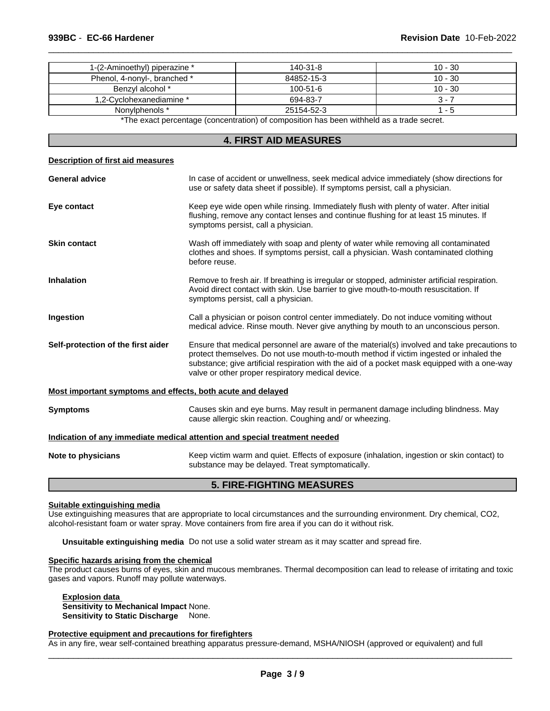| 1-(2-Aminoethyl) piperazine * | 140-31-8       | $10 - 30$ |
|-------------------------------|----------------|-----------|
| Phenol, 4-nonyl-, branched *  | 84852-15-3     | $10 - 30$ |
| Benzyl alcohol *              | $100 - 51 - 6$ | $10 - 30$ |
| 1,2-Cyclohexanediamine *      | 694-83-7       | 3 - 7     |
| Nonylphenols *                | 25154-52-3     | 5 - ו     |

 $\overline{\phantom{a}}$  ,  $\overline{\phantom{a}}$  ,  $\overline{\phantom{a}}$  ,  $\overline{\phantom{a}}$  ,  $\overline{\phantom{a}}$  ,  $\overline{\phantom{a}}$  ,  $\overline{\phantom{a}}$  ,  $\overline{\phantom{a}}$  ,  $\overline{\phantom{a}}$  ,  $\overline{\phantom{a}}$  ,  $\overline{\phantom{a}}$  ,  $\overline{\phantom{a}}$  ,  $\overline{\phantom{a}}$  ,  $\overline{\phantom{a}}$  ,  $\overline{\phantom{a}}$  ,  $\overline{\phantom{a}}$ 

\*The exact percentage (concentration) of composition has been withheld as a trade secret.

# **4. FIRST AID MEASURES**

| <b>Description of first aid measures</b>                    |                                                                                                                                                                                                                                                                                                                                            |
|-------------------------------------------------------------|--------------------------------------------------------------------------------------------------------------------------------------------------------------------------------------------------------------------------------------------------------------------------------------------------------------------------------------------|
| <b>General advice</b>                                       | In case of accident or unwellness, seek medical advice immediately (show directions for<br>use or safety data sheet if possible). If symptoms persist, call a physician.                                                                                                                                                                   |
| Eye contact                                                 | Keep eye wide open while rinsing. Immediately flush with plenty of water. After initial<br>flushing, remove any contact lenses and continue flushing for at least 15 minutes. If<br>symptoms persist, call a physician.                                                                                                                    |
| <b>Skin contact</b>                                         | Wash off immediately with soap and plenty of water while removing all contaminated<br>clothes and shoes. If symptoms persist, call a physician. Wash contaminated clothing<br>before reuse.                                                                                                                                                |
| <b>Inhalation</b>                                           | Remove to fresh air. If breathing is irregular or stopped, administer artificial respiration.<br>Avoid direct contact with skin. Use barrier to give mouth-to-mouth resuscitation. If<br>symptoms persist, call a physician.                                                                                                               |
| Ingestion                                                   | Call a physician or poison control center immediately. Do not induce vomiting without<br>medical advice. Rinse mouth. Never give anything by mouth to an unconscious person.                                                                                                                                                               |
| Self-protection of the first aider                          | Ensure that medical personnel are aware of the material(s) involved and take precautions to<br>protect themselves. Do not use mouth-to-mouth method if victim ingested or inhaled the<br>substance; give artificial respiration with the aid of a pocket mask equipped with a one-way<br>valve or other proper respiratory medical device. |
| Most important symptoms and effects, both acute and delayed |                                                                                                                                                                                                                                                                                                                                            |
| <b>Symptoms</b>                                             | Causes skin and eye burns. May result in permanent damage including blindness. May<br>cause allergic skin reaction. Coughing and/ or wheezing.                                                                                                                                                                                             |
|                                                             | Indication of any immediate medical attention and special treatment needed                                                                                                                                                                                                                                                                 |
| Note to physicians                                          | Keep victim warm and quiet. Effects of exposure (inhalation, ingestion or skin contact) to<br>substance may be delayed. Treat symptomatically.                                                                                                                                                                                             |

# **5. FIRE-FIGHTING MEASURES**

#### **Suitable extinguishing media**

Use extinguishing measures that are appropriate to local circumstances and the surrounding environment. Dry chemical, CO2, alcohol-resistant foam or water spray. Move containers from fire area if you can do it without risk.

**Unsuitable extinguishing media** Do not use a solid water stream as it may scatter and spread fire.

# **Specific hazards arising from the chemical**

The product causes burns of eyes, skin and mucous membranes. Thermal decomposition can lead to release of irritating and toxic gases and vapors. Runoff may pollute waterways.

**Explosion data Sensitivity to Mechanical Impact** None. **Sensitivity to Static Discharge** None.

#### **Protective equipment and precautions for firefighters**

As in any fire, wear self-contained breathing apparatus pressure-demand, MSHA/NIOSH (approved or equivalent) and full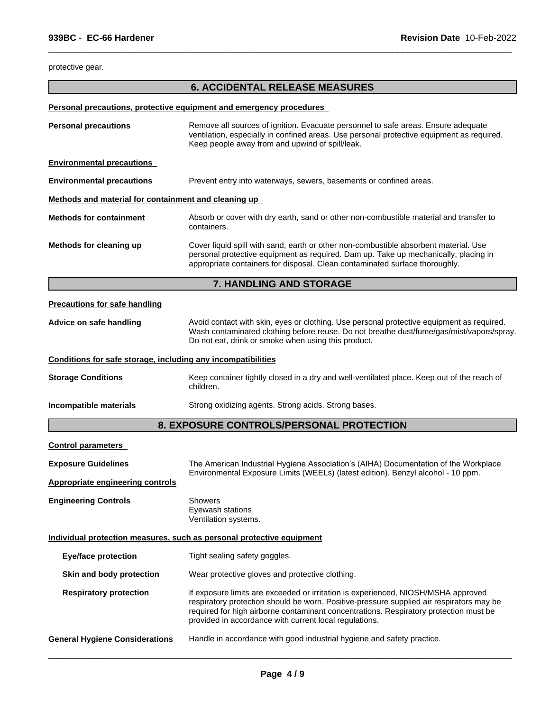protective gear.

# **6. ACCIDENTAL RELEASE MEASURES**

 $\overline{\phantom{a}}$  ,  $\overline{\phantom{a}}$  ,  $\overline{\phantom{a}}$  ,  $\overline{\phantom{a}}$  ,  $\overline{\phantom{a}}$  ,  $\overline{\phantom{a}}$  ,  $\overline{\phantom{a}}$  ,  $\overline{\phantom{a}}$  ,  $\overline{\phantom{a}}$  ,  $\overline{\phantom{a}}$  ,  $\overline{\phantom{a}}$  ,  $\overline{\phantom{a}}$  ,  $\overline{\phantom{a}}$  ,  $\overline{\phantom{a}}$  ,  $\overline{\phantom{a}}$  ,  $\overline{\phantom{a}}$ 

## **Personal precautions, protective equipment and emergency procedures**

| <b>Personal precautions</b>                                  | Remove all sources of ignition. Evacuate personnel to safe areas. Ensure adequate<br>ventilation, especially in confined areas. Use personal protective equipment as required.<br>Keep people away from and upwind of spill/leak.                                                                                                |  |  |  |
|--------------------------------------------------------------|----------------------------------------------------------------------------------------------------------------------------------------------------------------------------------------------------------------------------------------------------------------------------------------------------------------------------------|--|--|--|
| <b>Environmental precautions</b>                             |                                                                                                                                                                                                                                                                                                                                  |  |  |  |
| <b>Environmental precautions</b>                             | Prevent entry into waterways, sewers, basements or confined areas.                                                                                                                                                                                                                                                               |  |  |  |
| Methods and material for containment and cleaning up         |                                                                                                                                                                                                                                                                                                                                  |  |  |  |
| <b>Methods for containment</b>                               | Absorb or cover with dry earth, sand or other non-combustible material and transfer to<br>containers.                                                                                                                                                                                                                            |  |  |  |
| Methods for cleaning up                                      | Cover liquid spill with sand, earth or other non-combustible absorbent material. Use<br>personal protective equipment as required. Dam up. Take up mechanically, placing in<br>appropriate containers for disposal. Clean contaminated surface thoroughly.                                                                       |  |  |  |
|                                                              | 7. HANDLING AND STORAGE                                                                                                                                                                                                                                                                                                          |  |  |  |
| <b>Precautions for safe handling</b>                         |                                                                                                                                                                                                                                                                                                                                  |  |  |  |
| Advice on safe handling                                      | Avoid contact with skin, eyes or clothing. Use personal protective equipment as required.<br>Wash contaminated clothing before reuse. Do not breathe dust/fume/gas/mist/vapors/spray.<br>Do not eat, drink or smoke when using this product.                                                                                     |  |  |  |
| Conditions for safe storage, including any incompatibilities |                                                                                                                                                                                                                                                                                                                                  |  |  |  |
| <b>Storage Conditions</b>                                    | Keep container tightly closed in a dry and well-ventilated place. Keep out of the reach of<br>children.                                                                                                                                                                                                                          |  |  |  |
| Incompatible materials                                       | Strong oxidizing agents. Strong acids. Strong bases.                                                                                                                                                                                                                                                                             |  |  |  |
|                                                              | 8. EXPOSURE CONTROLS/PERSONAL PROTECTION                                                                                                                                                                                                                                                                                         |  |  |  |
| <b>Control parameters</b>                                    |                                                                                                                                                                                                                                                                                                                                  |  |  |  |
| <b>Exposure Guidelines</b>                                   | The American Industrial Hygiene Association's (AIHA) Documentation of the Workplace<br>Environmental Exposure Limits (WEELs) (latest edition). Benzyl alcohol - 10 ppm.                                                                                                                                                          |  |  |  |
| <b>Appropriate engineering controls</b>                      |                                                                                                                                                                                                                                                                                                                                  |  |  |  |
| <b>Engineering Controls</b>                                  | Showers<br>Eyewash stations<br>Ventilation systems.                                                                                                                                                                                                                                                                              |  |  |  |
|                                                              | Individual protection measures, such as personal protective equipment                                                                                                                                                                                                                                                            |  |  |  |
| <b>Eye/face protection</b>                                   | Tight sealing safety goggles.                                                                                                                                                                                                                                                                                                    |  |  |  |
| Skin and body protection                                     | Wear protective gloves and protective clothing.                                                                                                                                                                                                                                                                                  |  |  |  |
| <b>Respiratory protection</b>                                | If exposure limits are exceeded or irritation is experienced, NIOSH/MSHA approved<br>respiratory protection should be worn. Positive-pressure supplied air respirators may be<br>required for high airborne contaminant concentrations. Respiratory protection must be<br>provided in accordance with current local regulations. |  |  |  |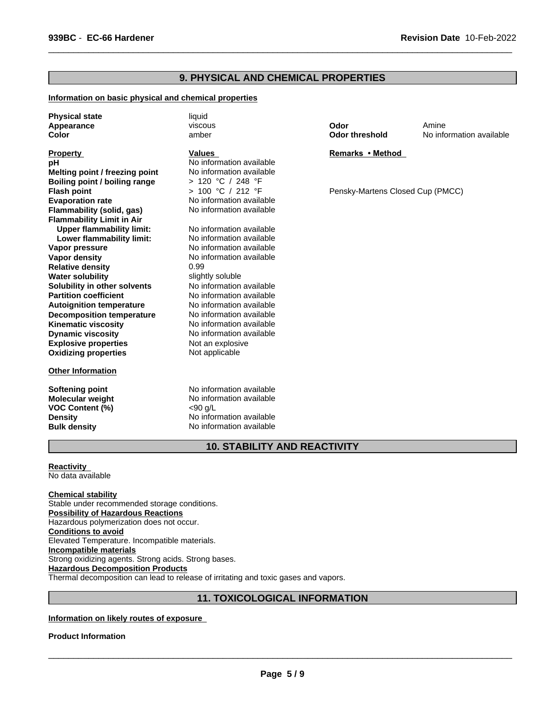# **9. PHYSICAL AND CHEMICAL PROPERTIES**

#### **Information on basic physical and chemical properties**

**Physical state** liquid **Appearance Color**

#### **Property**

**Explosive properties** Not an explosive **Oxidizing properties** Not applicable **Solubility in other solvents** No information available<br> **Partition coefficient** No information available **Boiling point / boiling range** > 120 °C / 248 °F **Autoignition temperature** No information available **Flash point Decomposition temperature** No information available **Kinematic viscosity** No information available **Dynamic viscosity** No information available **Evaporation rate Evaporation available**<br> **Flammability (solid. gas)** No information available **Flammability (solid, gas) Flammability Limit in Air**<br>**Upper flammability limit:** No information available **Upper flammability limit:** No information available<br> **Lower flammability limit:** No information available **pH** No information available<br> **Melting point / freezing point** No information available **Lower flammability limit: Vapor pressure No information available Vapor density No information available Melting point / freezing point Relative density** 0.99 **Water solubility water solubility** soluble

#### **Other Information**

**VOC Content (%)** <90 g/L

viscous amber

#### **Values**

> 100 °C / 212 °F

**No information available** 

**Softening point** No information available **Molecular weight** No information available **Density** No information available **Bulk density** No information available **Odor**

 $\overline{\phantom{a}}$  ,  $\overline{\phantom{a}}$  ,  $\overline{\phantom{a}}$  ,  $\overline{\phantom{a}}$  ,  $\overline{\phantom{a}}$  ,  $\overline{\phantom{a}}$  ,  $\overline{\phantom{a}}$  ,  $\overline{\phantom{a}}$  ,  $\overline{\phantom{a}}$  ,  $\overline{\phantom{a}}$  ,  $\overline{\phantom{a}}$  ,  $\overline{\phantom{a}}$  ,  $\overline{\phantom{a}}$  ,  $\overline{\phantom{a}}$  ,  $\overline{\phantom{a}}$  ,  $\overline{\phantom{a}}$ 

**Odor threshold** No information available Amine

#### **Remarks•Method**

Pensky-Martens Closed Cup (PMCC)

# **10. STABILITY AND REACTIVITY**

**Reactivity**  No data available

**Chemical stability**

Stable under recommended storage conditions. **Possibility of Hazardous Reactions** Hazardous polymerization does not occur. **Conditions to avoid** Elevated Temperature. Incompatible materials. **Incompatible materials** Strong oxidizing agents. Strong acids. Strong bases. **Hazardous Decomposition Products** Thermal decomposition can lead to release of irritating and toxic gases and vapors.

# **11. TOXICOLOGICAL INFORMATION**

## **Information on likely routes of exposure**

#### **Product Information**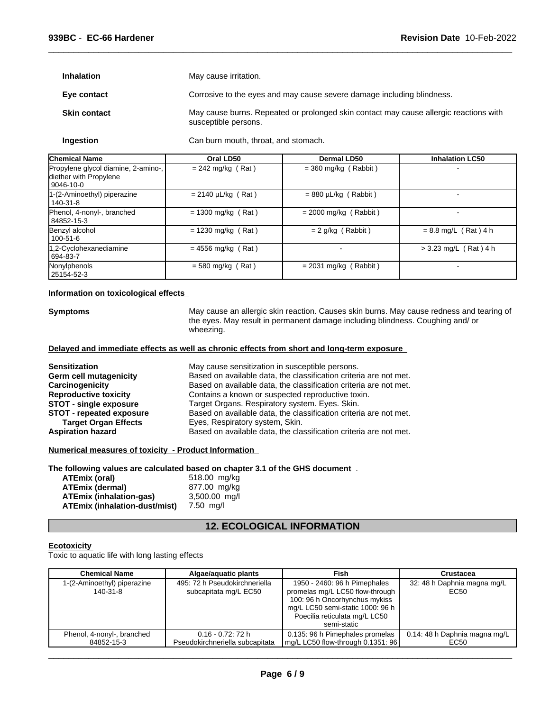**Inhalation** May cause irritation.

**Eye contact** Corrosive to the eyes and may cause severe damage including blindness.

 $\overline{\phantom{a}}$  ,  $\overline{\phantom{a}}$  ,  $\overline{\phantom{a}}$  ,  $\overline{\phantom{a}}$  ,  $\overline{\phantom{a}}$  ,  $\overline{\phantom{a}}$  ,  $\overline{\phantom{a}}$  ,  $\overline{\phantom{a}}$  ,  $\overline{\phantom{a}}$  ,  $\overline{\phantom{a}}$  ,  $\overline{\phantom{a}}$  ,  $\overline{\phantom{a}}$  ,  $\overline{\phantom{a}}$  ,  $\overline{\phantom{a}}$  ,  $\overline{\phantom{a}}$  ,  $\overline{\phantom{a}}$ 

**Skin contact** May cause burns. Repeated or prolonged skin contact may cause allergic reactions with susceptible persons.

**Ingestion** Can burn mouth, throat, and stomach.

| <b>Chemical Name</b>                                                       | Oral LD50               | <b>Dermal LD50</b>        | <b>Inhalation LC50</b>  |
|----------------------------------------------------------------------------|-------------------------|---------------------------|-------------------------|
| Propylene glycol diamine, 2-amino-,<br>diether with Propylene<br>9046-10-0 | $= 242$ mg/kg (Rat)     | $=$ 360 mg/kg (Rabbit)    |                         |
| 1-(2-Aminoethyl) piperazine<br>  140-31-8                                  | $= 2140 \mu L/kg$ (Rat) | $= 880 \mu L/kg$ (Rabbit) |                         |
| Phenol, 4-nonyl-, branched<br>84852-15-3                                   | $= 1300$ mg/kg (Rat)    | $= 2000$ mg/kg (Rabbit)   |                         |
| Benzyl alcohol<br>l 100-51-6                                               | $= 1230$ mg/kg (Rat)    | $= 2$ g/kg (Rabbit)       | $= 8.8$ mg/L (Rat) 4 h  |
| 1,2-Cyclohexanediamine<br>694-83-7                                         | $= 4556$ mg/kg (Rat)    |                           | $>$ 3.23 mg/L (Rat) 4 h |
| Nonylphenols<br>25154-52-3                                                 | $=$ 580 mg/kg (Rat)     | $= 2031$ mg/kg (Rabbit)   |                         |

#### **Information on toxicological effects**

**Symptoms** May cause an allergic skin reaction. Causes skin burns. May cause redness and tearing of the eyes. May result in permanent damage including blindness. Coughing and/ or wheezing.

#### **Delayed and immediate effects as well as chronic effects from short and long-term exposure**

| <b>Sensitization</b>            | May cause sensitization in susceptible persons.                   |  |  |
|---------------------------------|-------------------------------------------------------------------|--|--|
| Germ cell mutagenicity          | Based on available data, the classification criteria are not met. |  |  |
| Carcinogenicity                 | Based on available data, the classification criteria are not met. |  |  |
| <b>Reproductive toxicity</b>    | Contains a known or suspected reproductive toxin.                 |  |  |
| STOT - single exposure          | Target Organs. Respiratory system. Eyes. Skin.                    |  |  |
| <b>STOT - repeated exposure</b> | Based on available data, the classification criteria are not met. |  |  |
| <b>Target Organ Effects</b>     | Eyes, Respiratory system, Skin.                                   |  |  |
| <b>Aspiration hazard</b>        | Based on available data, the classification criteria are not met. |  |  |

#### **Numerical measures of toxicity - Product Information**

**The following values are calculated based on chapter 3.1 of the GHS document** .

| ATEmix (oral)                 | 518.00 mg/kg  |
|-------------------------------|---------------|
| <b>ATEmix (dermal)</b>        | 877.00 mg/kg  |
| ATEmix (inhalation-gas)       | 3,500.00 mg/l |
| ATEmix (inhalation-dust/mist) | 7.50 ma/l     |

# **12. ECOLOGICAL INFORMATION**

#### **Ecotoxicity**

Toxic to aquatic life with long lasting effects

| <b>Chemical Name</b>                    | Algae/aguatic plants                                   | Fish                                                                                                                                                                                 | Crustacea                           |
|-----------------------------------------|--------------------------------------------------------|--------------------------------------------------------------------------------------------------------------------------------------------------------------------------------------|-------------------------------------|
| 1-(2-Aminoethyl) piperazine<br>140-31-8 | 495: 72 h Pseudokirchneriella<br>subcapitata mg/L EC50 | 1950 - 2460: 96 h Pimephales<br>promelas mg/L LC50 flow-through<br>100: 96 h Oncorhynchus mykiss<br>mg/L LC50 semi-static 1000: 96 h<br>Poecilia reticulata mg/L LC50<br>semi-static | 32: 48 h Daphnia magna mg/L<br>EC50 |
| Phenol, 4-nonyl-, branched              | $0.16 - 0.72$ : 72 h                                   | 0.135: 96 h Pimephales promelas                                                                                                                                                      | 0.14: 48 h Daphnia magna mg/L       |
| 84852-15-3                              | Pseudokirchneriella subcapitata                        | $mg/L$ LC50 flow-through 0.1351: 96                                                                                                                                                  | EC50                                |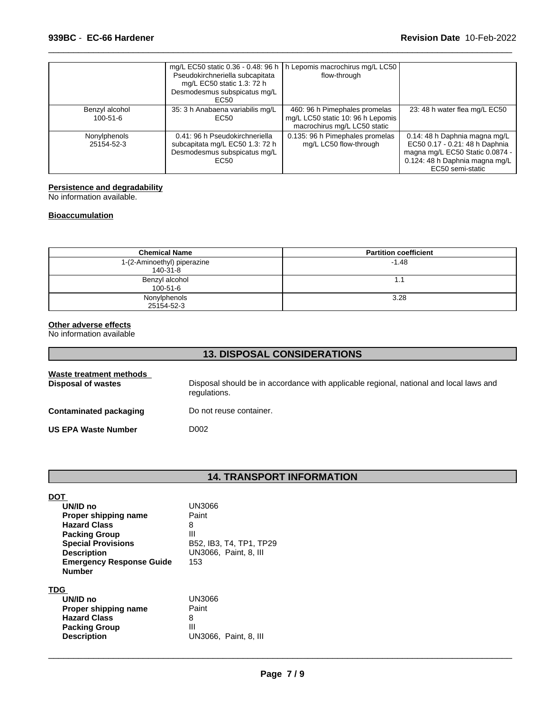|                            | Pseudokirchneriella subcapitata<br>mg/L EC50 static 1.3: 72 h<br>Desmodesmus subspicatus mg/L<br>EC50     | mg/L EC50 static 0.36 - 0.48: 96 h   h Lepomis macrochirus mg/L LC50  <br>flow-through             |                                                                                                                                                          |
|----------------------------|-----------------------------------------------------------------------------------------------------------|----------------------------------------------------------------------------------------------------|----------------------------------------------------------------------------------------------------------------------------------------------------------|
| Benzyl alcohol<br>100-51-6 | 35: 3 h Anabaena variabilis mg/L<br>EC50                                                                  | 460: 96 h Pimephales promelas<br>mg/L LC50 static 10: 96 h Lepomis<br>macrochirus mg/L LC50 static | 23: 48 h water flea mg/L EC50                                                                                                                            |
| Nonylphenols<br>25154-52-3 | 0.41: 96 h Pseudokirchneriella<br>subcapitata mg/L EC50 1.3: 72 h<br>Desmodesmus subspicatus mg/L<br>EC50 | 0.135: 96 h Pimephales promelas<br>mg/L LC50 flow-through                                          | 0.14: 48 h Daphnia magna mg/L<br>EC50 0.17 - 0.21: 48 h Daphnia<br>magna mg/L EC50 Static 0.0874 -<br>0.124: 48 h Daphnia magna mg/L<br>EC50 semi-static |

 $\overline{\phantom{a}}$  ,  $\overline{\phantom{a}}$  ,  $\overline{\phantom{a}}$  ,  $\overline{\phantom{a}}$  ,  $\overline{\phantom{a}}$  ,  $\overline{\phantom{a}}$  ,  $\overline{\phantom{a}}$  ,  $\overline{\phantom{a}}$  ,  $\overline{\phantom{a}}$  ,  $\overline{\phantom{a}}$  ,  $\overline{\phantom{a}}$  ,  $\overline{\phantom{a}}$  ,  $\overline{\phantom{a}}$  ,  $\overline{\phantom{a}}$  ,  $\overline{\phantom{a}}$  ,  $\overline{\phantom{a}}$ 

#### **Persistence and degradability**

No information available.

#### **Bioaccumulation**

| <b>Chemical Name</b>                    | <b>Partition coefficient</b> |
|-----------------------------------------|------------------------------|
| 1-(2-Aminoethyl) piperazine<br>140-31-8 | $-1.48$                      |
| Benzyl alcohol<br>100-51-6              | ۱.۱                          |
| Nonylphenols<br>25154-52-3              | 3.28                         |

#### **Other adverse effects**

No information available

| <b>13. DISPOSAL CONSIDERATIONS</b>                   |                                                                                                        |  |
|------------------------------------------------------|--------------------------------------------------------------------------------------------------------|--|
| Waste treatment methods<br><b>Disposal of wastes</b> | Disposal should be in accordance with applicable regional, national and local laws and<br>regulations. |  |
| <b>Contaminated packaging</b>                        | Do not reuse container.                                                                                |  |
| <b>US EPA Waste Number</b>                           | D002                                                                                                   |  |

# **14. TRANSPORT INFORMATION**

| DO1                             |                         |
|---------------------------------|-------------------------|
| UN/ID no                        | UN3066                  |
| Proper shipping name            | Paint                   |
| <b>Hazard Class</b>             | 8                       |
| <b>Packing Group</b>            | Ш                       |
| <b>Special Provisions</b>       | B52, IB3, T4, TP1, TP29 |
| <b>Description</b>              | UN3066, Paint, 8, III   |
| <b>Emergency Response Guide</b> | 153                     |
| <b>Number</b>                   |                         |
| TDG                             |                         |
| UN/ID no                        | UN3066                  |
| Proper shipping name            | Paint                   |
| <b>Hazard Class</b>             | 8                       |
| <b>Packing Group</b>            | Ш                       |
| <b>Description</b>              | UN3066. Paint. 8. III   |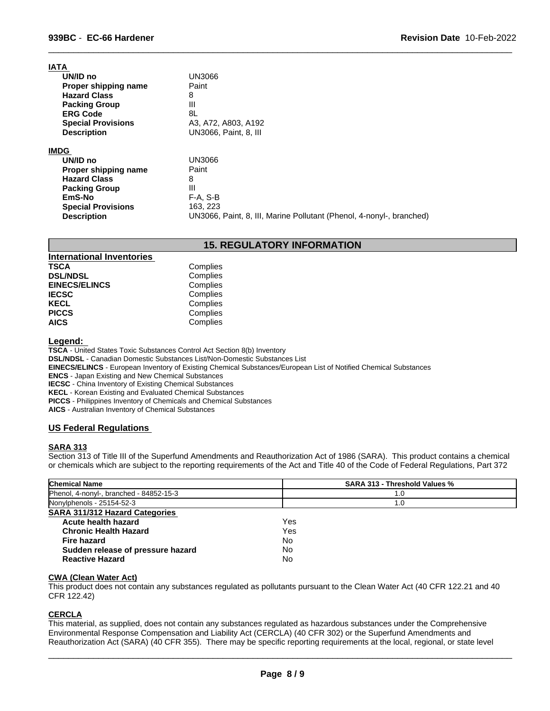# **IATA**

| . |                           |                                                                      |
|---|---------------------------|----------------------------------------------------------------------|
|   | UN/ID no                  | UN3066                                                               |
|   | Proper shipping name      | Paint                                                                |
|   | <b>Hazard Class</b>       | 8                                                                    |
|   | <b>Packing Group</b>      | Ш                                                                    |
|   | <b>ERG Code</b>           | 8L                                                                   |
|   | <b>Special Provisions</b> | A3, A72, A803, A192                                                  |
|   | <b>Description</b>        | UN3066. Paint, 8. III                                                |
|   |                           |                                                                      |
|   | IMDG                      |                                                                      |
|   | UN/ID no                  | UN3066                                                               |
|   | Proper shipping name      | Paint                                                                |
|   | <b>Hazard Class</b>       | 8                                                                    |
|   | <b>Packing Group</b>      | Ш                                                                    |
|   | EmS-No                    | F-A. S-B                                                             |
|   | <b>Special Provisions</b> | 163.223                                                              |
|   | <b>Description</b>        | UN3066, Paint, 8, III, Marine Pollutant (Phenol, 4-nonyl-, branched) |
|   |                           |                                                                      |

# **15. REGULATORY INFORMATION**

 $\overline{\phantom{a}}$  ,  $\overline{\phantom{a}}$  ,  $\overline{\phantom{a}}$  ,  $\overline{\phantom{a}}$  ,  $\overline{\phantom{a}}$  ,  $\overline{\phantom{a}}$  ,  $\overline{\phantom{a}}$  ,  $\overline{\phantom{a}}$  ,  $\overline{\phantom{a}}$  ,  $\overline{\phantom{a}}$  ,  $\overline{\phantom{a}}$  ,  $\overline{\phantom{a}}$  ,  $\overline{\phantom{a}}$  ,  $\overline{\phantom{a}}$  ,  $\overline{\phantom{a}}$  ,  $\overline{\phantom{a}}$ 

| <b>International Inventories</b> |          |
|----------------------------------|----------|
| <b>TSCA</b>                      | Complies |
| <b>DSL/NDSL</b>                  | Complies |
| <b>EINECS/ELINCS</b>             | Complies |
| <b>IECSC</b>                     | Complies |
| <b>KECL</b>                      | Complies |
| <b>PICCS</b>                     | Complies |
| <b>AICS</b>                      | Complies |

#### **Legend:**

**TSCA** - United States Toxic Substances Control Act Section 8(b) Inventory

**DSL/NDSL** - Canadian Domestic Substances List/Non-Domestic Substances List

**EINECS/ELINCS** - European Inventory of Existing Chemical Substances/European List of Notified Chemical Substances

**ENCS** - Japan Existing and New Chemical Substances

**IECSC** - China Inventory of Existing Chemical Substances

**KECL** - Korean Existing and Evaluated Chemical Substances

**PICCS** - Philippines Inventory of Chemicals and Chemical Substances

**AICS** - Australian Inventory of Chemical Substances

## **US Federal Regulations**

#### **SARA 313**

Section 313 of Title III of the Superfund Amendments and Reauthorization Act of 1986 (SARA). This product contains a chemical or chemicals which are subject to the reporting requirements of the Act and Title 40 of the Code of Federal Regulations, Part 372

| <b>Chemical Name</b>                    | <b>SARA 313 - Threshold Values %</b> |
|-----------------------------------------|--------------------------------------|
| Phenol, 4-nonyl-, branched - 84852-15-3 | 1.0                                  |
| Nonylphenols - 25154-52-3               | 1.0                                  |
| <b>SARA 311/312 Hazard Categories</b>   |                                      |
| Acute health hazard                     | Yes                                  |
| <b>Chronic Health Hazard</b>            | Yes                                  |
| <b>Fire hazard</b>                      | No                                   |
| Sudden release of pressure hazard       | No                                   |
| <b>Reactive Hazard</b>                  | No                                   |

#### **CWA (Clean Water Act)**

This product does not contain any substances regulated as pollutants pursuant to the Clean Water Act (40 CFR 122.21 and 40 CFR 122.42)

# **CERCLA**

This material, as supplied, does not contain any substances regulated as hazardous substances under the Comprehensive Environmental Response Compensation and Liability Act (CERCLA) (40 CFR 302) or the Superfund Amendments and Reauthorization Act (SARA) (40 CFR 355). There may be specific reporting requirements at the local, regional, or state level